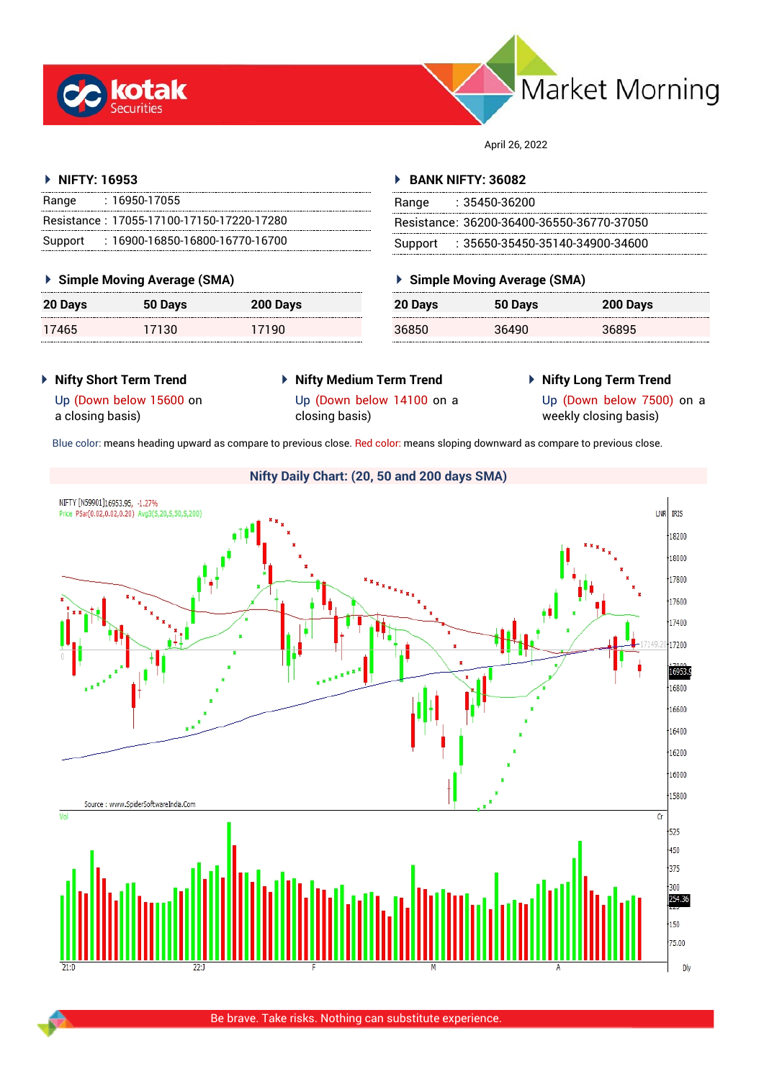



April 26, 2022

## **NIFTY: 16953**

| Range | : 16950-17055                             |
|-------|-------------------------------------------|
|       | Resistance: 17055-17100-17150-17220-17280 |
|       | Support: 16900-16850-16800-16770-16700    |

## **Simple Moving Average (SMA)**

| 20 Days | 50 Days | 200 Days |
|---------|---------|----------|
| 17465   | 17130   | 17190    |

### **BANK NIFTY: 36082**

| Range | : 35450-36200                             |
|-------|-------------------------------------------|
|       | Resistance: 36200-36400-36550-36770-37050 |
|       | Support: : 35650-35450-35140-34900-34600  |

## **Simple Moving Average (SMA)**

| 20 Days | 50 Days | 200 Days |
|---------|---------|----------|
| 36850   | 36490   | 36895    |

- **Nifty Short Term Trend**
- **Nifty Medium Term Trend** closing basis)
- **Nifty Long Term Trend**

Up (Down below 15600 on a closing basis)

Up (Down below 14100 on a

Up (Down below 7500) on a weekly closing basis)

Blue color: means heading upward as compare to previous close. Red color: means sloping downward as compare to previous close.



Be brave. Take risks. Nothing can substitute experience.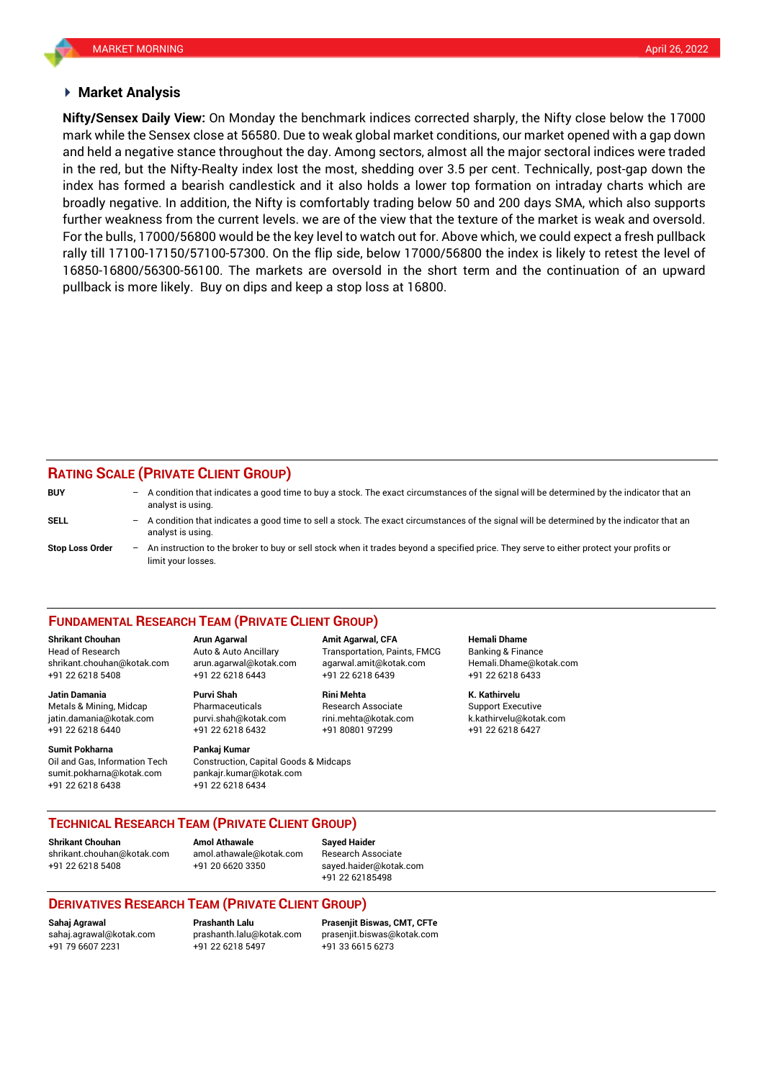#### **Market Analysis**

mark while the Sensex close at 56580. Due to weak global market conditions, our market opened with a gap down **Nifty/Sensex Daily View:** On Monday the benchmark indices corrected sharply, the Nifty close below the 17000 and held a negative stance throughout the day. Among sectors, almost all the major sectoral indices were traded in the red, but the Nifty-Realty index lost the most, shedding over 3.5 per cent. Technically, post-gap down the index has formed a bearish candlestick and it also holds a lower top formation on intraday charts which are broadly negative. In addition, the Nifty is comfortably trading below 50 and 200 days SMA, which also supports further weakness from the current levels. we are of the view that the texture of the market is weak and oversold. For the bulls, 17000/56800 would be the key level to watch out for. Above which, we could expect a fresh pullback rally till 17100-17150/57100-57300. On the flip side, below 17000/56800 the index is likely to retest the level of 16850-16800/56300-56100. The markets are oversold in the short term and the continuation of an upward pullback is more likely. Buy on dips and keep a stop loss at 16800.

## **RATING SCALE (PRIVATE CLIENT GROUP)**

| <b>BUY</b>      | $-$ | A condition that indicates a good time to buy a stock. The exact circumstances of the signal will be determined by the indicator that an<br>analyst is using.  |
|-----------------|-----|----------------------------------------------------------------------------------------------------------------------------------------------------------------|
| SELL            | -   | A condition that indicates a good time to sell a stock. The exact circumstances of the signal will be determined by the indicator that an<br>analyst is using. |
| Stop Loss Order | $-$ | An instruction to the broker to buy or sell stock when it trades beyond a specified price. They serve to either protect your profits or<br>limit vour losses.  |

#### **FUNDAMENTAL RESEARCH TEAM (PRIVATE CLIENT GROUP)**

Head of Research Auto & Auto Ancillary Transportation, Paints, FMCG Banking & Finance [shrikant.chouhan@kotak.com](mailto:shrikant.chouhan@kotak.com) arun.agarwal@kotak.com agarwal.amit@kotak.com Hemali.Dhame@kotak.com

**Jatin Damania Purvi Shah Rini Mehta K. Kathirvelu** Metals & Mining, Midcap Pharmaceuticals Research Associate Support Executive jatin.damania@kotak.com [purvi.shah@kotak.com](mailto:purvi.shah@kotak.com) rini.mehta@kotak.com [k.kathirvelu@kotak.com](mailto:k.kathirvelu@kotak.com) +91 22 6218 6440 +91 22 6218 6432 +91 80801 97299 +91 22 6218 6427

Oil and Gas, Information Tech Construction, Capital Goods & Midcaps sumit.pokharna@kotak.com pankajr.kumar@kotak.com

+91 22 6218 5408 +91 22 6218 6443 +91 22 6218 6439 +91 22 6218 6433

# **Sumit Pokharna Pankaj Kumar**

+91 22 6218 6438 +91 22 6218 6434

**Shrikant Chouhan Arun Agarwal Amit Agarwal, CFA Hemali Dhame**

## **TECHNICAL RESEARCH TEAM (PRIVATE CLIENT GROUP)**

**Shrikant Chouhan Amol Athawale Sayed Haider**

[shrikant.chouhan@kotak.com](mailto:shrikant.chouhan@kotak.com) [amol.athawale@kotak.com](mailto:amol.athawale@kotak.com) Research Associate +91 22 6218 5408 +91 20 6620 3350 [sayed.haider@kotak.com](mailto:sayed.haider@kotak.com)

+91 22 62185498

## **DERIVATIVES RESEARCH TEAM (PRIVATE CLIENT GROUP)**

+91 79 6607 2231 +91 22 6218 5497 +91 33 6615 6273

**Sahaj Agrawal Prashanth Lalu Prasenjit Biswas, CMT, CFTe** [sahaj.agrawal@kotak.com](mailto:sahaj.agrawal@kotak.com) [prashanth.lalu@kotak.com](mailto:prashanth.lalu@kotak.com) [prasenjit.biswas@kotak.com](mailto:prasenjit.biswas@kotak.com)